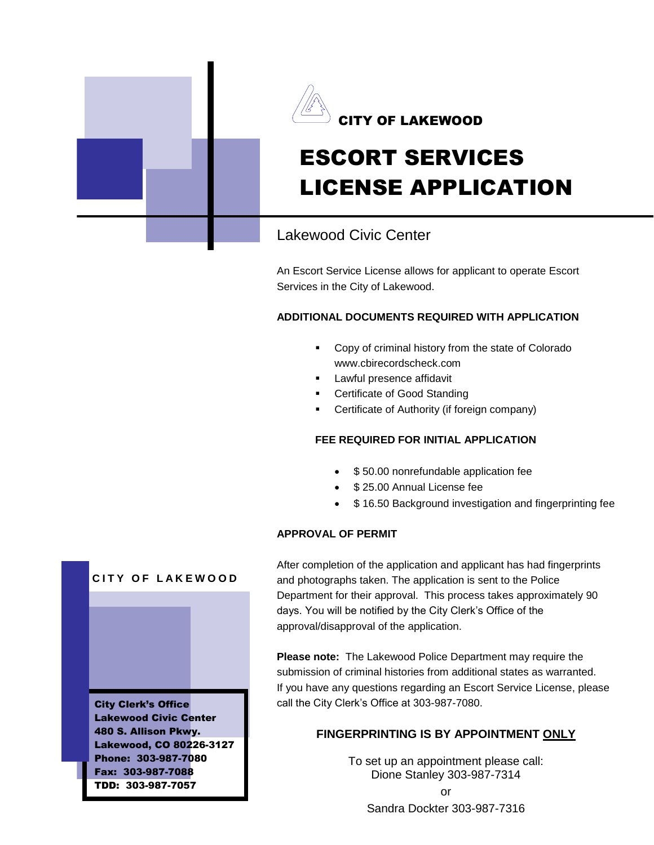



# ESCORT SERVICES LICENSE APPLICATION

# Lakewood Civic Center

An Escort Service License allows for applicant to operate Escort Services in the City of Lakewood.

## **ADDITIONAL DOCUMENTS REQUIRED WITH APPLICATION**

- Copy of criminal history from the state of Colorado www.cbirecordscheck.com
- **Lawful presence affidavit**
- Certificate of Good Standing
- Certificate of Authority (if foreign company)

### **FEE REQUIRED FOR INITIAL APPLICATION**

- \$50.00 nonrefundable application fee
- **\$25.00 Annual License fee**
- \$ 16.50 Background investigation and fingerprinting fee

### **APPROVAL OF PERMIT**

After completion of the application and applicant has had fingerprints and photographs taken. The application is sent to the Police Department for their approval. This process takes approximately 90 days. You will be notified by the City Clerk's Office of the approval/disapproval of the application.

**Please note:** The Lakewood Police Department may require the submission of criminal histories from additional states as warranted. If you have any questions regarding an Escort Service License, please call the City Clerk's Office at 303-987-7080.

## **FINGERPRINTING IS BY APPOINTMENT ONLY**

To set up an appointment please call: Dione Stanley 303-987-7314 or Sandra Dockter 303-987-7316

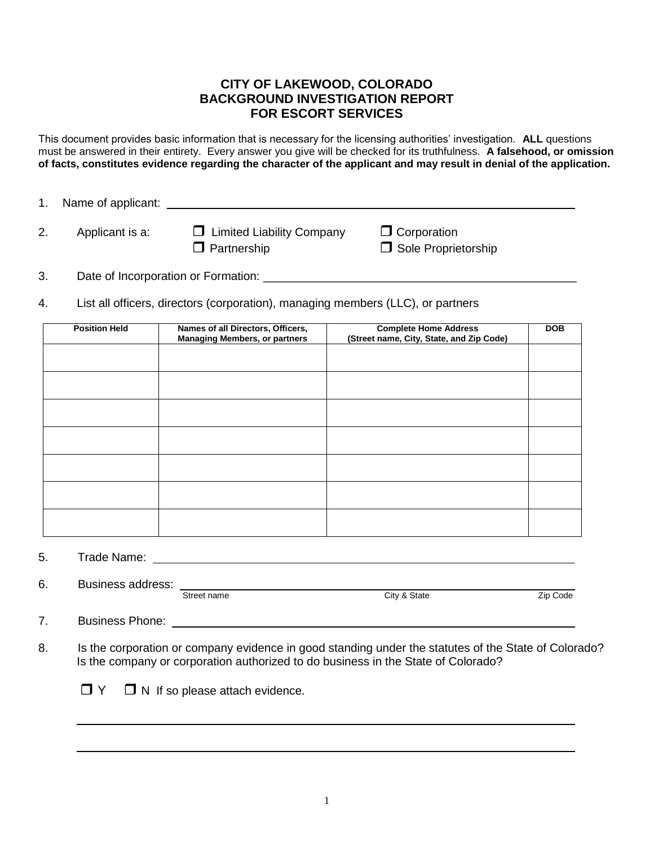## **CITY OF LAKEWOOD, COLORADO BACKGROUND INVESTIGATION REPORT FOR ESCORT SERVICES**

This document provides basic information that is necessary for the licensing authorities' investigation. **ALL** questions must be answered in their entirety. Every answer you give will be checked for its truthfulness. **A falsehood, or omission of facts, constitutes evidence regarding the character of the applicant and may result in denial of the application.**

1. Name of applicant:

2. Applicant is a:  $\Box$  Limited Liability Company  $\Box$  Corporation  $\Box$  Partnership  $\Box$  Sole Proprietorship

3. Date of Incorporation or Formation: \_\_\_\_\_\_\_\_\_\_\_\_\_\_\_\_\_\_\_\_\_\_\_\_\_\_\_\_\_\_\_\_\_\_\_\_\_\_\_\_\_\_\_\_\_\_\_\_

4. List all officers, directors (corporation), managing members (LLC), or partners

| <b>Position Held</b> | Names of all Directors, Officers,<br><b>Managing Members, or partners</b> | <b>Complete Home Address</b><br>(Street name, City, State, and Zip Code) | <b>DOB</b> |
|----------------------|---------------------------------------------------------------------------|--------------------------------------------------------------------------|------------|
|                      |                                                                           |                                                                          |            |
|                      |                                                                           |                                                                          |            |
|                      |                                                                           |                                                                          |            |
|                      |                                                                           |                                                                          |            |
|                      |                                                                           |                                                                          |            |
|                      |                                                                           |                                                                          |            |
|                      |                                                                           |                                                                          |            |

5. Trade Name:

6. Business address:

Street name City & State Zip Code

7. Business Phone:

8. Is the corporation or company evidence in good standing under the statutes of the State of Colorado? Is the company or corporation authorized to do business in the State of Colorado?

 $\Box Y$   $\Box$  N If so please attach evidence.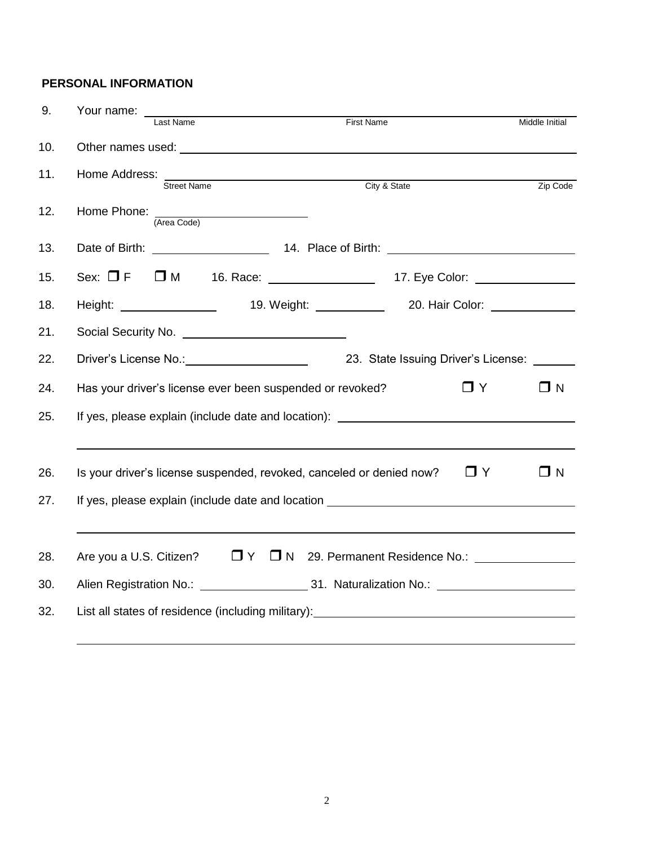## **PERSONAL INFORMATION**

| 9.  | Your name: __   |                                                                                                                                                                                                                                |                   |                                             |                |
|-----|-----------------|--------------------------------------------------------------------------------------------------------------------------------------------------------------------------------------------------------------------------------|-------------------|---------------------------------------------|----------------|
|     |                 | Last Name                                                                                                                                                                                                                      | <b>First Name</b> |                                             | Middle Initial |
| 10. |                 |                                                                                                                                                                                                                                |                   |                                             |                |
| 11. | Home Address: _ | <b>Street Name</b>                                                                                                                                                                                                             |                   | City & State                                | Zip Code       |
| 12. |                 | Home Phone: (Area Code)                                                                                                                                                                                                        |                   |                                             |                |
| 13. |                 |                                                                                                                                                                                                                                |                   |                                             |                |
| 15. |                 | Sex: □ F □ M 16. Race: __________________17. Eye Color: _______________________                                                                                                                                                |                   |                                             |                |
| 18. |                 | Height: ________________________ 19. Weight: _______________ 20. Hair Color: ______________                                                                                                                                    |                   |                                             |                |
| 21. |                 |                                                                                                                                                                                                                                |                   |                                             |                |
| 22. |                 | Driver's License No.: Note that the set of the set of the set of the set of the set of the set of the set of the set of the set of the set of the set of the set of the set of the set of the set of the set of the set of the |                   | 23. State Issuing Driver's License: _______ |                |
| 24. |                 | Has your driver's license ever been suspended or revoked?                                                                                                                                                                      |                   | $\Box$ Y                                    | ΠN             |
| 25. |                 | If yes, please explain (include date and location): ____________________________                                                                                                                                               |                   |                                             |                |
|     |                 |                                                                                                                                                                                                                                |                   |                                             |                |
| 26. |                 | Is your driver's license suspended, revoked, canceled or denied now?                                                                                                                                                           |                   | $\Box$ Y                                    | ΠN             |
| 27. |                 | If yes, please explain (include date and location ______________________________                                                                                                                                               |                   |                                             |                |
|     |                 |                                                                                                                                                                                                                                |                   |                                             |                |
| 28. |                 | Are you a U.S. Citizen? □ Y □ N 29. Permanent Residence No.: 11. 12. 29. Permanent Residence No.:                                                                                                                              |                   |                                             |                |
| 30. |                 |                                                                                                                                                                                                                                |                   |                                             |                |
| 32. |                 |                                                                                                                                                                                                                                |                   |                                             |                |
|     |                 |                                                                                                                                                                                                                                |                   |                                             |                |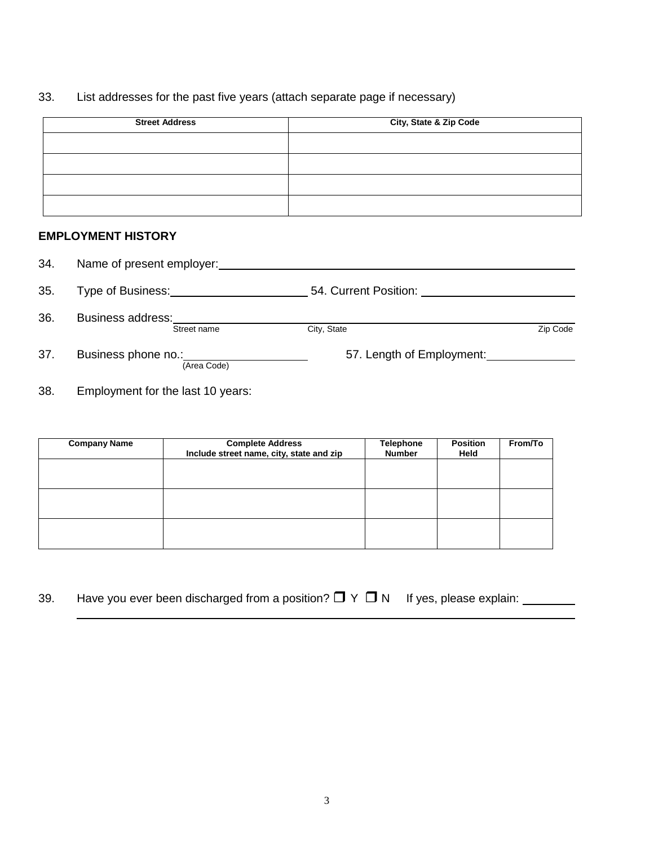## 33. List addresses for the past five years (attach separate page if necessary)

| <b>Street Address</b> | City, State & Zip Code |  |  |
|-----------------------|------------------------|--|--|
|                       |                        |  |  |
|                       |                        |  |  |
|                       |                        |  |  |
|                       |                        |  |  |

## **EMPLOYMENT HISTORY**

| 34. | Name of present employer:               |                           |
|-----|-----------------------------------------|---------------------------|
| 35. | Type of Business:                       | 54. Current Position:     |
| 36. | <b>Business address:</b><br>Street name | City, State<br>Zip Code   |
| 37. | Business phone no.:<br>(Area Code)      | 57. Length of Employment: |

38. Employment for the last 10 years:

| <b>Company Name</b> | <b>Complete Address</b><br>Include street name, city, state and zip | <b>Telephone</b><br><b>Number</b> | <b>Position</b><br>Held | From/To |
|---------------------|---------------------------------------------------------------------|-----------------------------------|-------------------------|---------|
|                     |                                                                     |                                   |                         |         |
|                     |                                                                     |                                   |                         |         |
|                     |                                                                     |                                   |                         |         |
|                     |                                                                     |                                   |                         |         |

| Have you ever been discharged from a position? $\Box$ Y $\Box$ N If yes, please explain:<br>39. |  |  |  |  |
|-------------------------------------------------------------------------------------------------|--|--|--|--|
|-------------------------------------------------------------------------------------------------|--|--|--|--|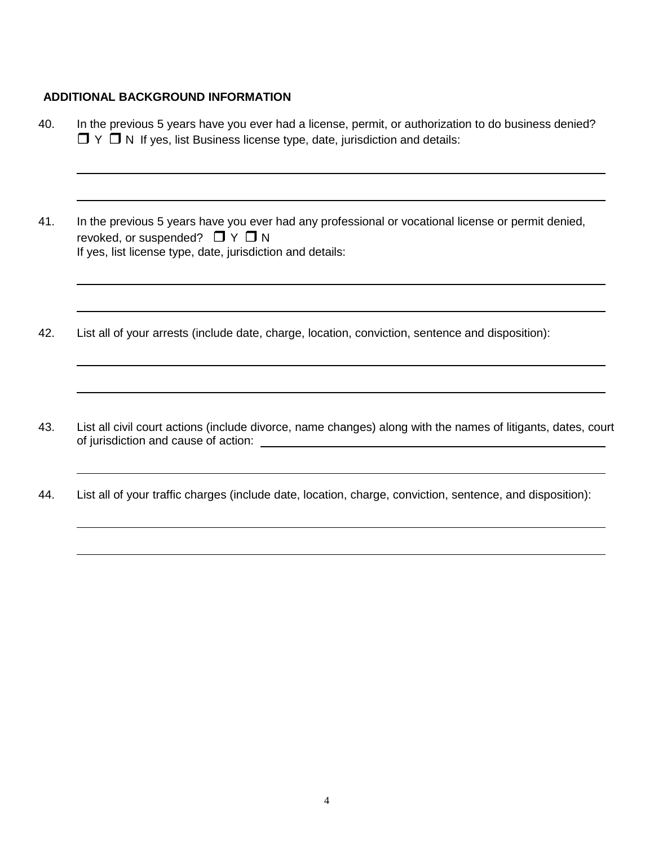## **ADDITIONAL BACKGROUND INFORMATION**

- 40. In the previous 5 years have you ever had a license, permit, or authorization to do business denied?  $\Box$   $\Upsilon$   $\Box$  N If yes, list Business license type, date, jurisdiction and details:
- 41. In the previous 5 years have you ever had any professional or vocational license or permit denied, revoked, or suspended?  $\Box Y \Box N$ If yes, list license type, date, jurisdiction and details:
- 42. List all of your arrests (include date, charge, location, conviction, sentence and disposition):
- 43. List all civil court actions (include divorce, name changes) along with the names of litigants, dates, court of jurisdiction and cause of action:
- 44. List all of your traffic charges (include date, location, charge, conviction, sentence, and disposition):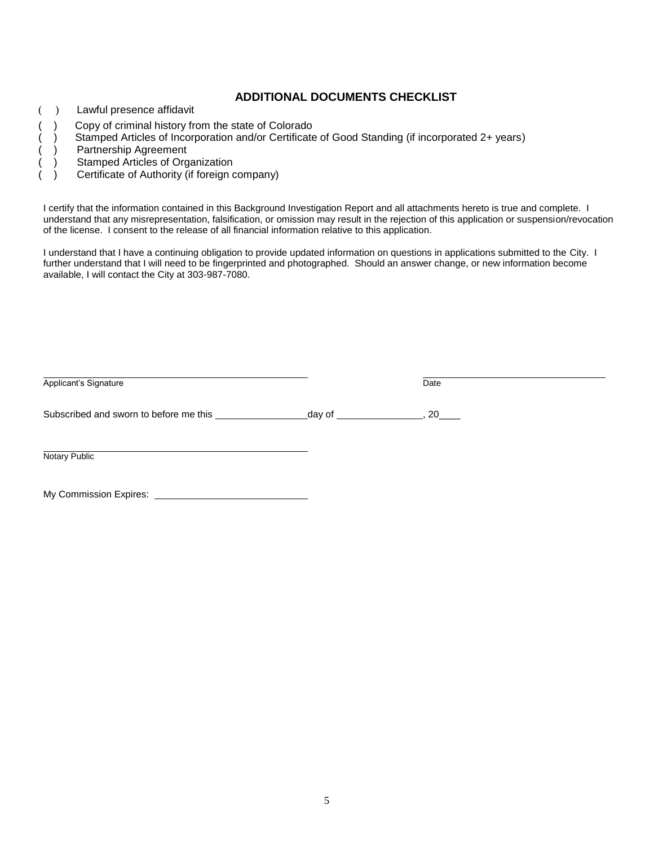#### **ADDITIONAL DOCUMENTS CHECKLIST**

- ( ) Lawful presence affidavit
- ( ) Copy of criminal history from the state of Colorado
- ( ) Stamped Articles of Incorporation and/or Certificate of Good Standing (if incorporated 2+ years)<br>
( ) Partnership Agreement<br>
( ) Stamped Articles of Organization
- ) Partnership Agreement
- ) Stamped Articles of Organization
- ( ) Certificate of Authority (if foreign company)

I certify that the information contained in this Background Investigation Report and all attachments hereto is true and complete. I understand that any misrepresentation, falsification, or omission may result in the rejection of this application or suspension/revocation of the license. I consent to the release of all financial information relative to this application.

I understand that I have a continuing obligation to provide updated information on questions in applications submitted to the City. I further understand that I will need to be fingerprinted and photographed. Should an answer change, or new information become available, I will contact the City at 303-987-7080.

| Applicant's Signature  | Date |  |
|------------------------|------|--|
|                        |      |  |
| Notary Public          |      |  |
| My Commission Expires: |      |  |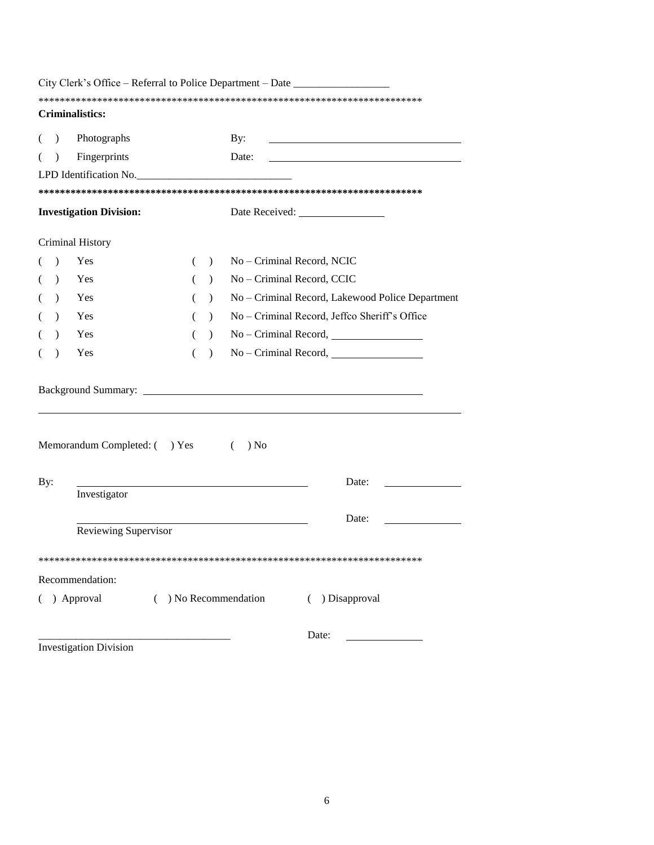|               | City Clerk's Office – Referral to Police Department – Date _____________ |   |               |                            |                                                  |
|---------------|--------------------------------------------------------------------------|---|---------------|----------------------------|--------------------------------------------------|
|               | Criminalistics:                                                          |   |               |                            |                                                  |
|               |                                                                          |   |               |                            |                                                  |
| $\lambda$     | Photographs                                                              |   |               | By:                        |                                                  |
| $\mathcal{E}$ | Fingerprints                                                             |   |               | Date:                      |                                                  |
|               | LPD Identification No.                                                   |   |               |                            |                                                  |
|               |                                                                          |   |               |                            |                                                  |
|               | <b>Investigation Division:</b>                                           |   |               |                            |                                                  |
|               | Criminal History                                                         |   |               |                            |                                                  |
| $\lambda$     | Yes                                                                      | € | $\lambda$     | No - Criminal Record, NCIC |                                                  |
| $\lambda$     | Yes                                                                      |   | $\lambda$     | No - Criminal Record, CCIC |                                                  |
| $\lambda$     | Yes                                                                      |   | $\mathcal{L}$ |                            | No - Criminal Record, Lakewood Police Department |
| $\lambda$     | Yes                                                                      |   | $\lambda$     |                            | No – Criminal Record, Jeffco Sheriff's Office    |
| $\lambda$     | Yes                                                                      | ( | $\mathcal{L}$ |                            | $No - Criminal Record,$                          |
| $\lambda$     | Yes                                                                      |   | $\lambda$     |                            |                                                  |
|               |                                                                          |   |               |                            |                                                  |
|               | Memorandum Completed: () Yes                                             |   |               | ) No<br>$\left($           |                                                  |
| By:           |                                                                          |   |               |                            | Date:                                            |
|               | Investigator                                                             |   |               |                            |                                                  |
|               |                                                                          |   |               |                            | Date:                                            |
|               | Reviewing Supervisor                                                     |   |               |                            |                                                  |
|               |                                                                          |   |               |                            |                                                  |
|               | Recommendation:                                                          |   |               |                            |                                                  |
|               | ( ) Approval                                                             |   |               | $($ ) No Recommendation    | ( ) Disapproval                                  |
|               |                                                                          |   |               |                            | Date:                                            |
|               | <b>Investigation Division</b>                                            |   |               |                            |                                                  |

6